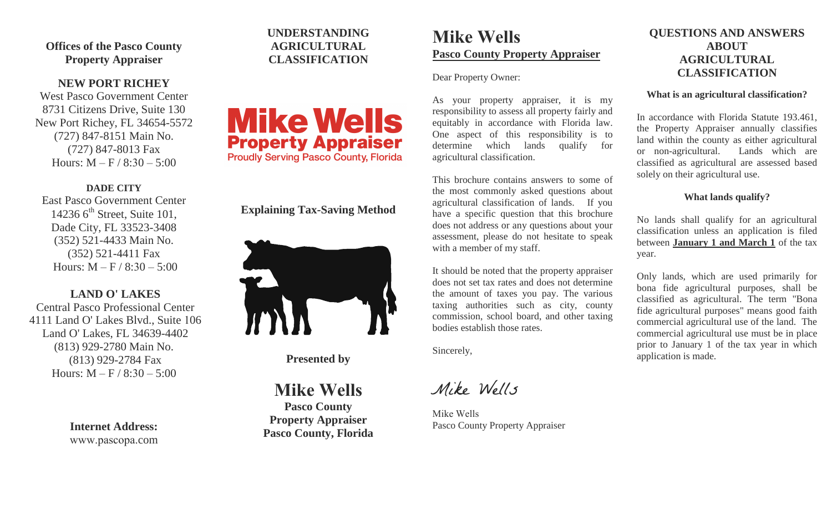**Offices of the Pasco County Property Appraiser** 

# **NEW PORT RICHEY**

West Pasco Government Center 8731 Citizens Drive, Suite 130 New Port Richey, FL 34654-5572 (727) 847-8151 Main No. (727) 847-8013 Fax Hours:  $M - F / 8:30 - 5:00$ 

#### **DADE CITY**

East Pasco Government Center 14236  $6^{\text{th}}$  Street, Suite 101, Dade City, FL 33523-3408 (352) 521-4433 Main No. (352) 521-4411 Fax Hours:  $M - F / 8:30 - 5:00$ 

# **LAND O' LAKES**

Central Pasco Professional Center 4111 Land O' Lakes Blvd., Suite 106 Land O' Lakes, FL 34639-4402 (813) 929-2780 Main No. (813) 929-2784 Fax Hours:  $M - F / 8:30 - 5:00$ 

> **Internet Address:**  www.pascopa.com

# **UNDERSTANDING AGRICULTURAL CLASSIFICATION**



# **Explaining Tax-Saving Method**



**Presented by** 

**Mike Wells**

**Pasco County Property Appraiser Pasco County, Florida**

# **Mike Wells Pasco County Property Appraiser**

Dear Property Owner:

As your property appraiser, it is my responsibility to assess all property fairly and equitably in accordance with Florida law. One aspect of this responsibility is to determine which lands qualify for agricultural classification.

This brochure contains answers to some of the most commonly asked questions about agricultural classification of lands. If you have a specific question that this brochure does not address or any questions about your assessment, please do not hesitate to speak with a member of my staff.

It should be noted that the property appraiser does not set tax rates and does not determine the amount of taxes you pay. The various taxing authorities such as city, county commission, school board, and other taxing bodies establish those rates.

Sincerely,

Mike Wells

Mike Wells Pasco County Property Appraiser

# **QUESTIONS AND ANSWERS ABOUT AGRICULTURAL CLASSIFICATION**

#### **What is an agricultural classification?**

In accordance with Florida Statute 193.461, the Property Appraiser annually classifies land within the county as either agricultural or non-agricultural. Lands which are classified as agricultural are assessed based solely on their agricultural use.

# **What lands qualify?**

No lands shall qualify for an agricultural classification unless an application is filed between **January 1 and March 1** of the tax year.

Only lands, which are used primarily for bona fide agricultural purposes, shall be classified as agricultural. The term "Bona fide agricultural purposes" means good faith commercial agricultural use of the land. The commercial agricultural use must be in place prior to January 1 of the tax year in which application is made.